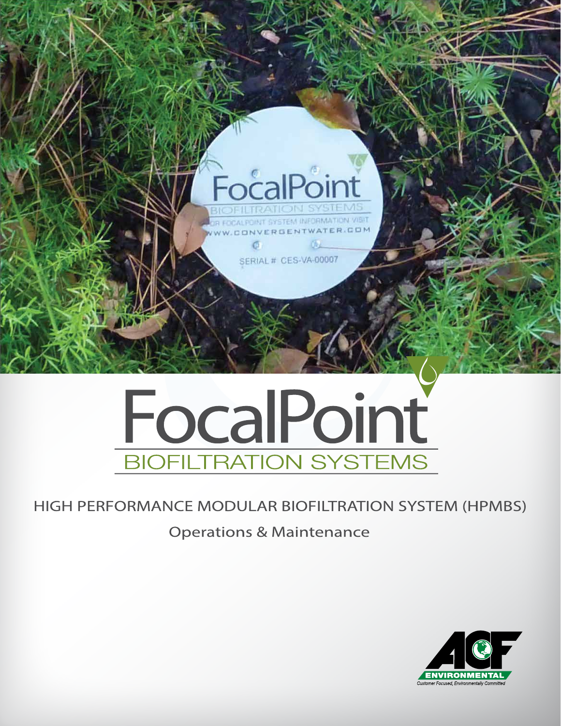

# FocalPoint **BIOFILTRATION SYSTEMS**

### HIGH PERFORMANCE MODULAR BIOFILTRATION SYSTEM (HPMBS)

### Operations & Maintenance

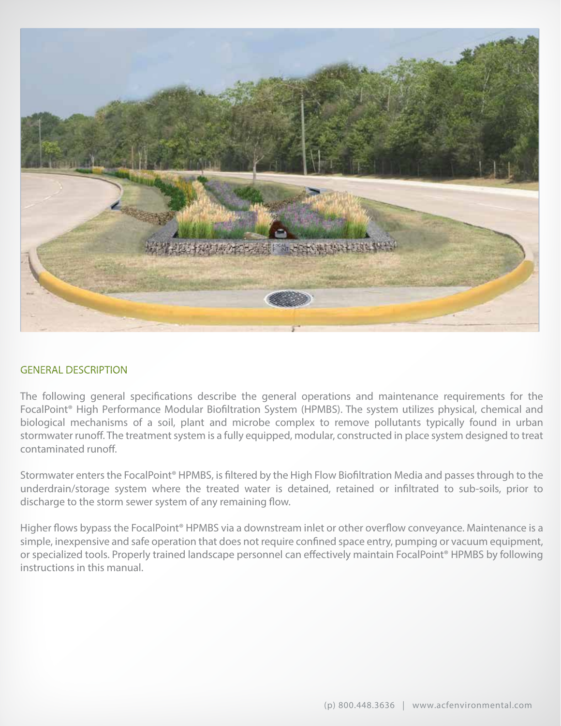

#### GENERAL DESCRIPTION

The following general specifcations describe the general operations and maintenance requirements for the FocalPoint® High Performance Modular Biofltration System (HPMBS). The system utilizes physical, chemical and biological mechanisms of a soil, plant and microbe complex to remove pollutants typically found in urban stormwater runoff. The treatment system is a fully equipped, modular, constructed in place system designed to treat contaminated runof.

Stormwater enters the FocalPoint® HPMBS, is fltered by the High Flow Biofltration Media and passes through to the underdrain/storage system where the treated water is detained, retained or infltrated to sub-soils, prior to discharge to the storm sewer system of any remaining flow.

Higher flows bypass the FocalPoint<sup>®</sup> HPMBS via a downstream inlet or other overflow conveyance. Maintenance is a simple, inexpensive and safe operation that does not require confned space entry, pumping or vacuum equipment, or specialized tools. Properly trained landscape personnel can efectively maintain FocalPoint® HPMBS by following instructions in this manual.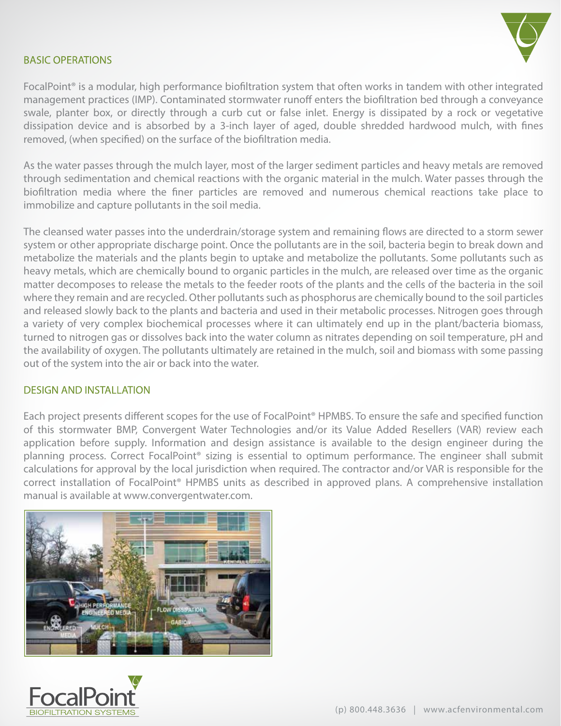

#### BASIC OPERATIONS

FocalPoint® is a modular, high performance biofltration system that often works in tandem with other integrated management practices (IMP). Contaminated stormwater runoff enters the biofiltration bed through a conveyance swale, planter box, or directly through a curb cut or false inlet. Energy is dissipated by a rock or vegetative dissipation device and is absorbed by a 3-inch layer of aged, double shredded hardwood mulch, with fnes removed, (when specifed) on the surface of the biofltration media.

As the water passes through the mulch layer, most of the larger sediment particles and heavy metals are removed through sedimentation and chemical reactions with the organic material in the mulch. Water passes through the biofltration media where the fner particles are removed and numerous chemical reactions take place to immobilize and capture pollutants in the soil media.

The cleansed water passes into the underdrain/storage system and remaining flows are directed to a storm sewer system or other appropriate discharge point. Once the pollutants are in the soil, bacteria begin to break down and metabolize the materials and the plants begin to uptake and metabolize the pollutants. Some pollutants such as heavy metals, which are chemically bound to organic particles in the mulch, are released over time as the organic matter decomposes to release the metals to the feeder roots of the plants and the cells of the bacteria in the soil where they remain and are recycled. Other pollutants such as phosphorus are chemically bound to the soil particles and released slowly back to the plants and bacteria and used in their metabolic processes. Nitrogen goes through a variety of very complex biochemical processes where it can ultimately end up in the plant/bacteria biomass, turned to nitrogen gas or dissolves back into the water column as nitrates depending on soil temperature, pH and the availability of oxygen. The pollutants ultimately are retained in the mulch, soil and biomass with some passing out of the system into the air or back into the water.

#### DESIGN AND INSTALLATION

Each project presents diferent scopes for the use of FocalPoint® HPMBS. To ensure the safe and specifed function of this stormwater BMP, Convergent Water Technologies and/or its Value Added Resellers (VAR) review each application before supply. Information and design assistance is available to the design engineer during the planning process. Correct FocalPoint® sizing is essential to optimum performance. The engineer shall submit calculations for approval by the local jurisdiction when required. The contractor and/or VAR is responsible for the correct installation of FocalPoint® HPMBS units as described in approved plans. A comprehensive installation manual is available at www.convergentwater.com.



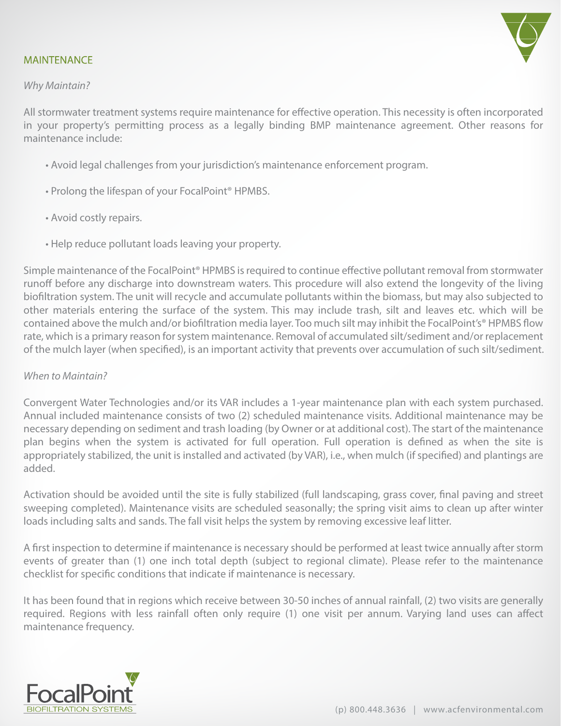#### MAINTENANCE

#### Why Maintain?

All stormwater treatment systems require maintenance for efective operation. This necessity is often incorporated in your property's permitting process as a legally binding BMP maintenance agreement. Other reasons for maintenance include:

- Avoid legal challenges from your jurisdiction's maintenance enforcement program.
- Prolong the lifespan of your FocalPoint® HPMBS.
- Avoid costly repairs.
- Help reduce pollutant loads leaving your property.

Simple maintenance of the FocalPoint® HPMBS is required to continue efective pollutant removal from stormwater runoff before any discharge into downstream waters. This procedure will also extend the longevity of the living biofltration system. The unit will recycle and accumulate pollutants within the biomass, but may also subjected to other materials entering the surface of the system. This may include trash, silt and leaves etc. which will be contained above the mulch and/or biofltration media layer. Too much silt may inhibit the FocalPoint's® HPMBS fow rate, which is a primary reason for system maintenance. Removal of accumulated silt/sediment and/or replacement of the mulch layer (when specifed), is an important activity that prevents over accumulation of such silt/sediment.

#### When to Maintain?

Convergent Water Technologies and/or its VAR includes a 1-year maintenance plan with each system purchased. Annual included maintenance consists of two (2) scheduled maintenance visits. Additional maintenance may be necessary depending on sediment and trash loading (by Owner or at additional cost). The start of the maintenance plan begins when the system is activated for full operation. Full operation is defned as when the site is appropriately stabilized, the unit is installed and activated (by VAR), i.e., when mulch (if specifed) and plantings are added.

Activation should be avoided until the site is fully stabilized (full landscaping, grass cover, fnal paving and street sweeping completed). Maintenance visits are scheduled seasonally; the spring visit aims to clean up after winter loads including salts and sands. The fall visit helps the system by removing excessive leaf litter.

A frst inspection to determine if maintenance is necessary should be performed at least twice annually after storm events of greater than (1) one inch total depth (subject to regional climate). Please refer to the maintenance checklist for specifc conditions that indicate if maintenance is necessary.

It has been found that in regions which receive between 30-50 inches of annual rainfall, (2) two visits are generally required. Regions with less rainfall often only require (1) one visit per annum. Varying land uses can afect maintenance frequency.

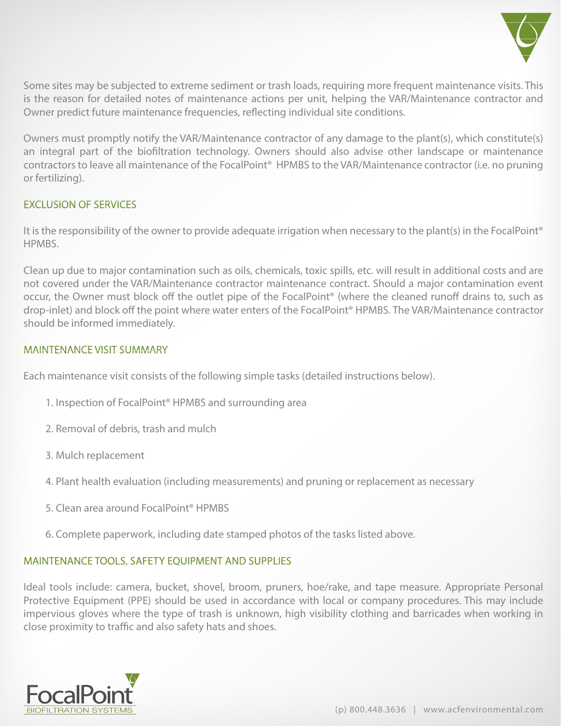

Some sites may be subjected to extreme sediment or trash loads, requiring more frequent maintenance visits. This is the reason for detailed notes of maintenance actions per unit, helping the VAR/Maintenance contractor and Owner predict future maintenance frequencies, refecting individual site conditions.

Owners must promptly notify the VAR/Maintenance contractor of any damage to the plant(s), which constitute(s) an integral part of the biofltration technology. Owners should also advise other landscape or maintenance contractors to leave all maintenance of the FocalPoint® HPMBS to the VAR/Maintenance contractor (i.e. no pruning or fertilizing).

#### EXCLUSION OF SERVICES

It is the responsibility of the owner to provide adequate irrigation when necessary to the plant(s) in the FocalPoint® HPMBS.

Clean up due to major contamination such as oils, chemicals, toxic spills, etc. will result in additional costs and are not covered under the VAR/Maintenance contractor maintenance contract. Should a major contamination event occur, the Owner must block off the outlet pipe of the FocalPoint® (where the cleaned runoff drains to, such as drop-inlet) and block off the point where water enters of the FocalPoint® HPMBS. The VAR/Maintenance contractor should be informed immediately.

#### MAINTENANCE VISIT SUMMARY

Each maintenance visit consists of the following simple tasks (detailed instructions below).

- 1. Inspection of FocalPoint® HPMBS and surrounding area
- 2. Removal of debris, trash and mulch
- 3. Mulch replacement
- 4. Plant health evaluation (including measurements) and pruning or replacement as necessary
- 5. Clean area around FocalPoint® HPMBS
- 6. Complete paperwork, including date stamped photos of the tasks listed above.

#### MAINTENANCE TOOLS, SAFETY EQUIPMENT AND SUPPLIES

Ideal tools include: camera, bucket, shovel, broom, pruners, hoe/rake, and tape measure. Appropriate Personal Protective Equipment (PPE) should be used in accordance with local or company procedures. This may include impervious gloves where the type of trash is unknown, high visibility clothing and barricades when working in close proximity to traffic and also safety hats and shoes.

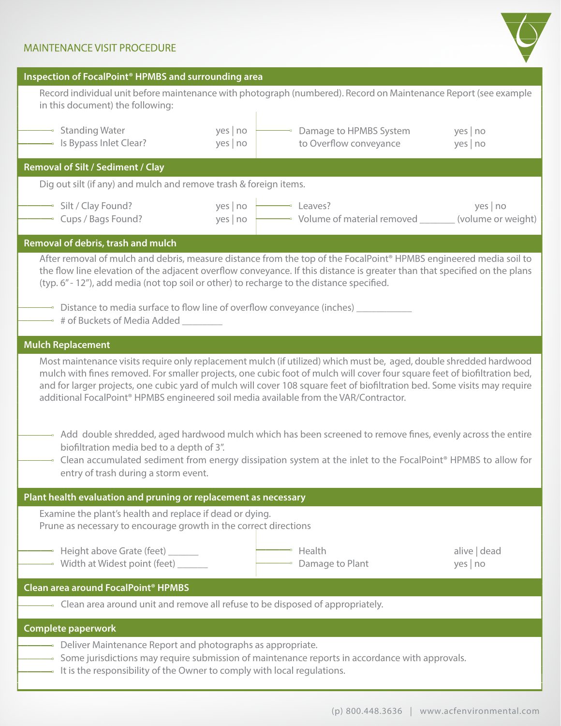#### MAINTENANCE VISIT PROCEDURE



| Inspection of FocalPoint <sup>®</sup> HPMBS and surrounding area                                                                                                                                                                                                                                                                                                                                                                                                                  |                              |                                                                  |                        |  |  |  |  |
|-----------------------------------------------------------------------------------------------------------------------------------------------------------------------------------------------------------------------------------------------------------------------------------------------------------------------------------------------------------------------------------------------------------------------------------------------------------------------------------|------------------------------|------------------------------------------------------------------|------------------------|--|--|--|--|
| Record individual unit before maintenance with photograph (numbered). Record on Maintenance Report (see example<br>in this document) the following:                                                                                                                                                                                                                                                                                                                               |                              |                                                                  |                        |  |  |  |  |
| — Standing Water<br>$\rightarrow$ Is Bypass Inlet Clear?                                                                                                                                                                                                                                                                                                                                                                                                                          | yes no<br>yes no             | → Damage to HPMBS System<br>to Overflow conveyance               | yes no<br>yes no       |  |  |  |  |
| Removal of Silt / Sediment / Clay                                                                                                                                                                                                                                                                                                                                                                                                                                                 |                              |                                                                  |                        |  |  |  |  |
| Dig out silt (if any) and mulch and remove trash & foreign items.                                                                                                                                                                                                                                                                                                                                                                                                                 |                              |                                                                  |                        |  |  |  |  |
| Silt / Clay Found?<br>$\overline{\phantom{a}}$ Cups / Bags Found?                                                                                                                                                                                                                                                                                                                                                                                                                 | yes   $no$  <br>yes   $no +$ | Leaves?<br>Volume of material removed _______ (volume or weight) | yes no                 |  |  |  |  |
| Removal of debris, trash and mulch                                                                                                                                                                                                                                                                                                                                                                                                                                                |                              |                                                                  |                        |  |  |  |  |
| After removal of mulch and debris, measure distance from the top of the FocalPoint <sup>®</sup> HPMBS engineered media soil to<br>the flow line elevation of the adjacent overflow conveyance. If this distance is greater than that specified on the plans<br>(typ. 6" - 12"), add media (not top soil or other) to recharge to the distance specified.<br>$\rightarrow$ Distance to media surface to flow line of overflow conveyance (inches) ________                         |                              |                                                                  |                        |  |  |  |  |
| → # of Buckets of Media Added _______                                                                                                                                                                                                                                                                                                                                                                                                                                             |                              |                                                                  |                        |  |  |  |  |
| <b>Mulch Replacement</b>                                                                                                                                                                                                                                                                                                                                                                                                                                                          |                              |                                                                  |                        |  |  |  |  |
| Most maintenance visits require only replacement mulch (if utilized) which must be, aged, double shredded hardwood<br>mulch with fines removed. For smaller projects, one cubic foot of mulch will cover four square feet of biofiltration bed,<br>and for larger projects, one cubic yard of mulch will cover 108 square feet of biofiltration bed. Some visits may require<br>additional FocalPoint <sup>®</sup> HPMBS engineered soil media available from the VAR/Contractor. |                              |                                                                  |                        |  |  |  |  |
| → Add double shredded, aged hardwood mulch which has been screened to remove fines, evenly across the entire<br>biofiltration media bed to a depth of 3".<br>$-$ Clean accumulated sediment from energy dissipation system at the inlet to the FocalPoint <sup>®</sup> HPMBS to allow for<br>entry of trash during a storm event.                                                                                                                                                 |                              |                                                                  |                        |  |  |  |  |
| Plant health evaluation and pruning or replacement as necessary                                                                                                                                                                                                                                                                                                                                                                                                                   |                              |                                                                  |                        |  |  |  |  |
| Examine the plant's health and replace if dead or dying.<br>Prune as necessary to encourage growth in the correct directions                                                                                                                                                                                                                                                                                                                                                      |                              |                                                                  |                        |  |  |  |  |
| - Height above Grate (feet)<br>→ Width at Widest point (feet) ______                                                                                                                                                                                                                                                                                                                                                                                                              |                              | $\overline{\phantom{a}}$ Health<br>$\lnot$ Damage to Plant       | alive   dead<br>yes no |  |  |  |  |
| Clean area around FocalPoint <sup>®</sup> HPMBS                                                                                                                                                                                                                                                                                                                                                                                                                                   |                              |                                                                  |                        |  |  |  |  |
| $\overline{\phantom{a}}$ Clean area around unit and remove all refuse to be disposed of appropriately.                                                                                                                                                                                                                                                                                                                                                                            |                              |                                                                  |                        |  |  |  |  |
| <b>Complete paperwork</b>                                                                                                                                                                                                                                                                                                                                                                                                                                                         |                              |                                                                  |                        |  |  |  |  |
| $\rightarrow$ Deliver Maintenance Report and photographs as appropriate.<br>$\rightarrow$ Some jurisdictions may require submission of maintenance reports in accordance with approvals.<br>$\rightarrow$ It is the responsibility of the Owner to comply with local regulations.                                                                                                                                                                                                 |                              |                                                                  |                        |  |  |  |  |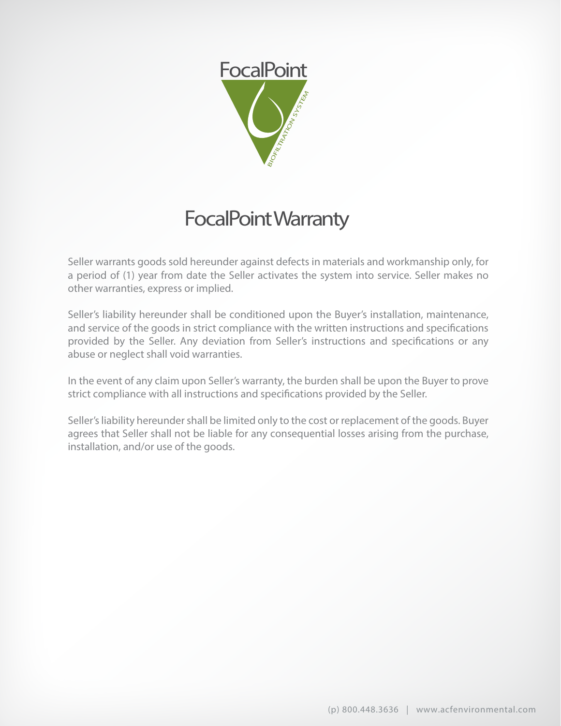

## FocalPoint Warranty

Seller warrants goods sold hereunder against defects in materials and workmanship only, for a period of (1) year from date the Seller activates the system into service. Seller makes no other warranties, express or implied.

Seller's liability hereunder shall be conditioned upon the Buyer's installation, maintenance, and service of the goods in strict compliance with the written instructions and specifcations provided by the Seller. Any deviation from Seller's instructions and specifcations or any abuse or neglect shall void warranties.

In the event of any claim upon Seller's warranty, the burden shall be upon the Buyer to prove strict compliance with all instructions and specifcations provided by the Seller.

Seller's liability hereunder shall be limited only to the cost or replacement of the goods. Buyer agrees that Seller shall not be liable for any consequential losses arising from the purchase, installation, and/or use of the goods.